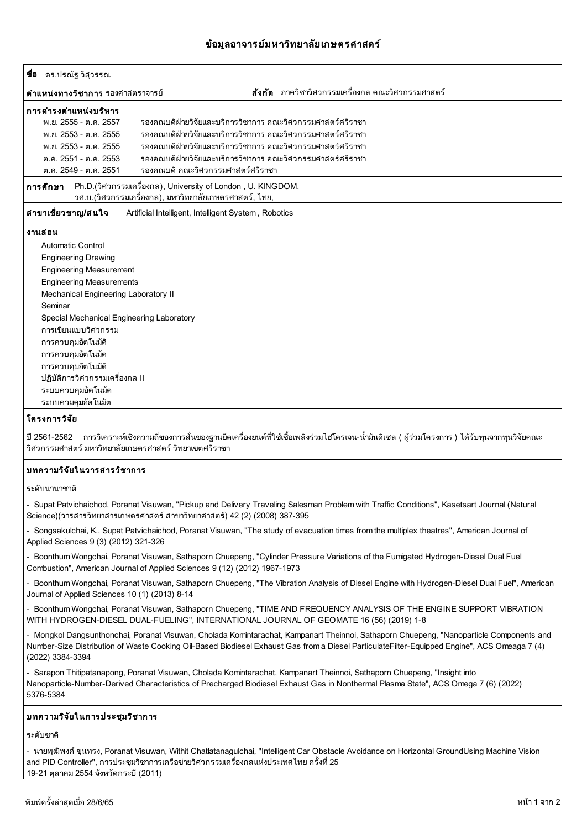## ข้อมลอาจารย์มหาวิทยาลัยเกษตรศาสตร์

| <b>ชือ</b> ดร.ปรณัฐวิสุวรรณ                                                                                                         |                                                             |  |
|-------------------------------------------------------------------------------------------------------------------------------------|-------------------------------------------------------------|--|
| <b>ตำแหน่งทางวิชาการ</b> รองศาสตราจารย์                                                                                             | <b>สังกัด</b> ภาควิชาวิศวกรรมเครื่องกล คณะวิศวกรรมศาสตร์    |  |
| ิการดำรงตำแหน่งบริหาร                                                                                                               |                                                             |  |
| พ.ย. 2555 - ต.ค. 2557                                                                                                               | รองคณบดีฝ่ายวิจัยและบริการวิชาการ คณะวิศวกรรมศาสตร์ศรีราชา  |  |
| พ.ย. 2553 - ต.ค. 2555                                                                                                               | ้รองคณบดีฝ่ายวิจัยและบริการวิชาการ คณะวิศวกรรมศาสตร์ศรีราชา |  |
| พ.ย. 2553 - ต.ค. 2555                                                                                                               | ้รองคณบดีฝ่ายวิจัยและบริการวิชาการ คณะวิศวกรรมศาสตร์ศรีราชา |  |
| ้รองคณบดีฝ่ายวิจัยและบริการวิชาการ คณะวิศวกรรมศาสตร์ศรีราชา<br>ต.ค. 2551 - ต.ค. 2553                                                |                                                             |  |
| รองคณบดี คณะวิศวกรรมศาสตร์ศรีราชา<br>ต.ค. 2549 - ต.ค. 2551                                                                          |                                                             |  |
| Ph.D.(วิศวกรรมเครื่องกล), University of London , U. KINGDOM,<br>การศึกษา<br>้วศ.บ.(วิศวกรรมเครื่องกล), มหาวิทยาลัยเกษตรศาสตร์, ไทย, |                                                             |  |
| ี่สาขาเชี่ยวชาญ/สนใจ<br>Artificial Intelligent, Intelligent System, Robotics                                                        |                                                             |  |
| งานสอน                                                                                                                              |                                                             |  |
| Automatic Control                                                                                                                   |                                                             |  |
| <b>Engineering Drawing</b>                                                                                                          |                                                             |  |
| <b>Engineering Measurement</b>                                                                                                      |                                                             |  |
| <b>Engineering Measurements</b>                                                                                                     |                                                             |  |
| Mechanical Engineering Laboratory II                                                                                                |                                                             |  |
| Seminar                                                                                                                             |                                                             |  |
| Special Mechanical Engineering Laboratory                                                                                           |                                                             |  |
| การเขียนแบบวิศวกรรม                                                                                                                 |                                                             |  |
| การควบคุมอัตโนมัดิ                                                                                                                  |                                                             |  |
| การควบคุมอัตโนมัต                                                                                                                   |                                                             |  |
| การควบคุมอัตโนมัติ                                                                                                                  |                                                             |  |
| ่ ปฏิบัติการวิศวกรรมเครื่องกล II                                                                                                    |                                                             |  |
| ระบบควบคุมอัตโนมัต                                                                                                                  |                                                             |  |
| ระบบควมคุมอัตโนมัต                                                                                                                  |                                                             |  |

## โครงการวิจัย

ปี 2561-2562 การวิเคราะห์เชิงความถี่ของการสั่นของฐานยึดเครื่องยนต์ที่ใช้เชื้อเพลิงร่วมไฮโดรเจน-น้ำมันดีเซล ( ผู้ร่วมโครงการ ) ได้รับทุนจากทุนวิจัยคณะ วิศวกรรมศาสตร์ มหาวิทยาลัยเกษตรศาสตร์ วิทยาเขตศรีราชา

### บทความวิจัยในวารสารวิชาการ

ระดับบานาชาติ

- Supat Patvichaichod, Poranat Visuwan, "Pickup and Delivery Traveling Salesman Problem with Traffic Conditions", Kasetsart Journal (Natural Science)(วารสารวิทยาสารเกษตรศาสตร์ สาขาวิทยาศาสตร์) 42 (2) (2008) 387-395

- Songsakulchai, K., Supat Patvichaichod, Poranat Visuwan, "The study of evacuation times from the multiplex theatres", American Journal of Applied Sciences 9 (3) (2012) 321-326

- Boonthum Wongchai, Poranat Visuwan, Sathaporn Chuepeng, "Cylinder Pressure Variations of the Fumigated Hydrogen-Diesel Dual Fuel Combustion", American Journal of Applied Sciences 9 (12) (2012) 1967-1973

- Boonthum Wongchai, Poranat Visuwan, Sathaporn Chuepeng, "The Vibration Analysis of Diesel Engine with Hydrogen-Diesel Dual Fuel", American Journal of Applied Sciences 10 (1) (2013) 8-14

- Boonthum Wongchai, Poranat Visuwan, Sathaporn Chuepeng, "TIME AND FREQUENCY ANALYSIS OF THE ENGINE SUPPORT VIBRATION WITH HYDROGEN-DIESEL DUAL-FUELING", INTERNATIONAL JOURNAL OF GEOMATE 16 (56) (2019) 1-8

- Mongkol Dangsunthonchai, Poranat Visuwan, Cholada Komintarachat, Kampanart Theinnoi, Sathaporn Chuepeng, "Nanoparticle Components and Number-Size Distribution of Waste Cooking Oil-Based Biodiesel Exhaust Gas from a Diesel ParticulateFilter-Equipped Engine", ACS Omeaga 7 (4) (2022) 3384-3394

- Sarapon Thitipatanapong, Poranat Visuwan, Cholada Komintarachat, Kampanart Theinnoi, Sathaporn Chuepeng, "Insight into Nanoparticle-Number-Derived Characteristics of Precharged Biodiesel Exhaust Gas in Nonthermal Plasma State", ACS Omega 7 (6) (2022) 5376-5384

### บทความวิจัยในการประชุมวิชาการ

#### ระดับชาติ

- นายพุฒิพงศ์ ขุนทรง, Poranat Visuwan, Withit Chatlatanagulchai, "Intelligent Car Obstacle Avoidance on Horizontal GroundUsing Machine Vision and PID Controller", การประชุมวิชาการเครือข่ายวิศวกรรมเครื่องกลแห่งประเทศไทย ครั้งที่ 25 19-21 ตุลาคม 2554 จังหวัดกระบี่ (2011)